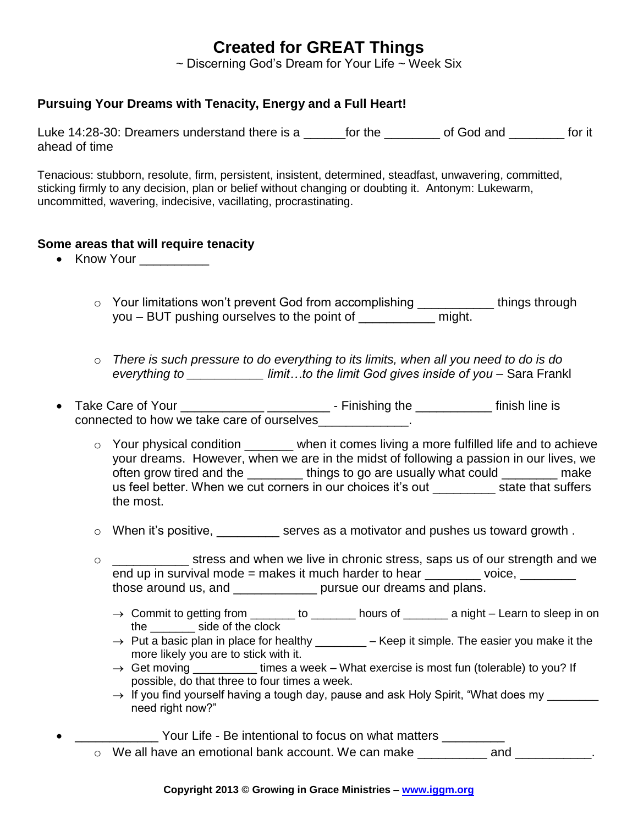## **Created for GREAT Things**

 $\sim$  Discerning God's Dream for Your Life  $\sim$  Week Six

## **Pursuing Your Dreams with Tenacity, Energy and a Full Heart!**

Luke 14:28-30: Dreamers understand there is a capacitor the control of God and the for it ahead of time

Tenacious: stubborn, resolute, firm, persistent, insistent, determined, steadfast, unwavering, committed, sticking firmly to any decision, plan or belief without changing or doubting it. Antonym: Lukewarm, uncommitted, wavering, indecisive, vacillating, procrastinating.

## **Some areas that will require tenacity**

- Know Your
	- o Your limitations won't prevent God from accomplishing \_\_\_\_\_\_\_\_\_\_\_\_ things through you – BUT pushing ourselves to the point of \_\_\_\_\_\_\_\_\_\_\_ might.
	- o *There is such pressure to do everything to its limits, when all you need to do is do everything to \_\_\_\_\_\_\_\_\_\_\_ limit…to the limit God gives inside of you* – Sara Frankl
- Take Care of Your \_\_\_\_\_\_\_\_\_\_\_\_ \_\_\_\_\_\_\_\_\_ Finishing the \_\_\_\_\_\_\_\_\_\_\_ finish line is connected to how we take care of ourselves\_\_\_\_\_\_\_\_\_\_\_\_\_.
	- $\circ$  Your physical condition  $\_\_\_\_\_$  when it comes living a more fulfilled life and to achieve your dreams. However, when we are in the midst of following a passion in our lives, we often grow tired and the \_\_\_\_\_\_\_\_ things to go are usually what could \_\_\_\_\_\_\_ make us feel better. When we cut corners in our choices it's out state that suffers the most.
	- o When it's positive, \_\_\_\_\_\_\_\_\_ serves as a motivator and pushes us toward growth .
	- o \_\_\_\_\_\_\_\_\_\_\_ stress and when we live in chronic stress, saps us of our strength and we end up in survival mode  $=$  makes it much harder to hear  $\qquad \qquad$  voice, those around us, and \_\_\_\_\_\_\_\_\_\_\_\_ pursue our dreams and plans.
		- $\rightarrow$  Commit to getting from \_\_\_\_\_\_\_ to \_\_\_\_\_\_\_ hours of \_\_\_\_\_\_\_ a night Learn to sleep in on the side of the clock
		- $\rightarrow$  Put a basic plan in place for healthy \_\_\_\_\_\_\_\_\_ Keep it simple. The easier you make it the more likely you are to stick with it.
		- $\rightarrow$  Get moving times a week What exercise is most fun (tolerable) to you? If possible, do that three to four times a week.
		- $\rightarrow$  If you find yourself having a tough day, pause and ask Holy Spirit, "What does my  $\overline{\phantom{a}}$ need right now?"
			- Your Life Be intentional to focus on what matters
	- o We all have an emotional bank account. We can make \_\_\_\_\_\_\_\_\_\_\_ and \_\_\_\_\_\_\_\_\_\_\_.